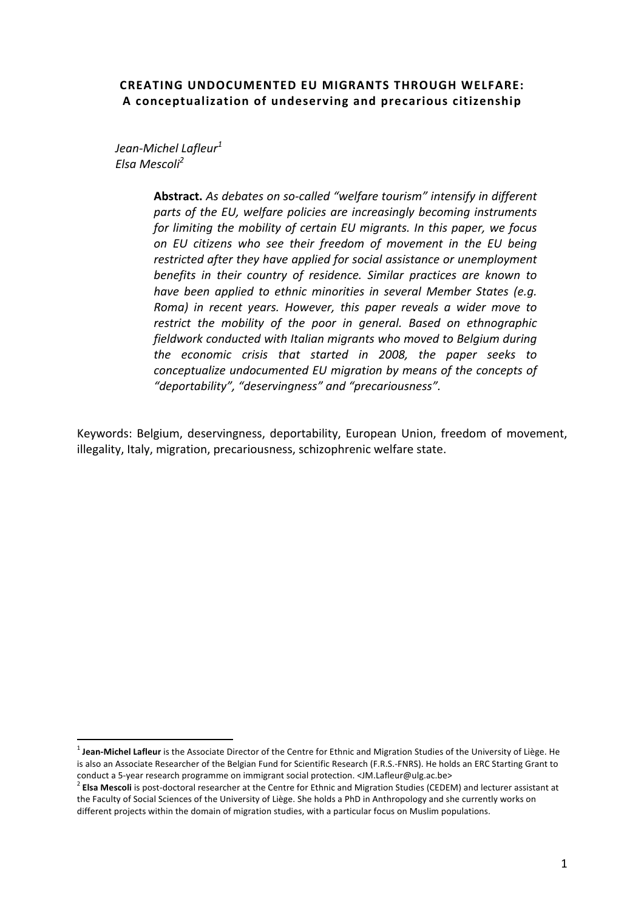### **CREATING UNDOCUMENTED EU MIGRANTS THROUGH WELFARE: A conceptualization of undeserving and precarious citizenship**

*Jean-Michel Lafleur<sup>1</sup> Elsa Mescoli2*

> Abstract. As debates on so-called "welfare tourism" intensify in different parts of the EU, welfare policies are increasingly becoming instruments for limiting the mobility of certain EU migrants. In this paper, we focus *on EU citizens who see their freedom of movement in the EU being restricted after they have applied for social assistance or unemployment benefits in their country of residence. Similar practices are known to have been applied to ethnic minorities in several Member States (e.g. Roma)* in recent years. However, this paper reveals a wider move to *restrict* the mobility of the poor in general. Based on ethnographic *fieldwork conducted with Italian migrants who moved to Belgium during the economic crisis that started in 2008, the paper seeks to conceptualize undocumented EU migration by means of the concepts of "deportability", "deservingness" and "precariousness".*

Keywords: Belgium, deservingness, deportability, European Union, freedom of movement, illegality, Italy, migration, precariousness, schizophrenic welfare state.

<sup>&</sup>lt;sup>1</sup> Jean-Michel Lafleur is the Associate Director of the Centre for Ethnic and Migration Studies of the University of Liège. He is also an Associate Researcher of the Belgian Fund for Scientific Research (F.R.S.-FNRS). He holds an ERC Starting Grant to conduct a 5-year research programme on immigrant social protection. <JM.Lafleur@ulg.ac.be><br><sup>2</sup> Elsa Mescoli is post-doctoral researcher at the Centre for Ethnic and Migration Studies (CEDEM) and lecturer assistant at

the Faculty of Social Sciences of the University of Liège. She holds a PhD in Anthropology and she currently works on different projects within the domain of migration studies, with a particular focus on Muslim populations.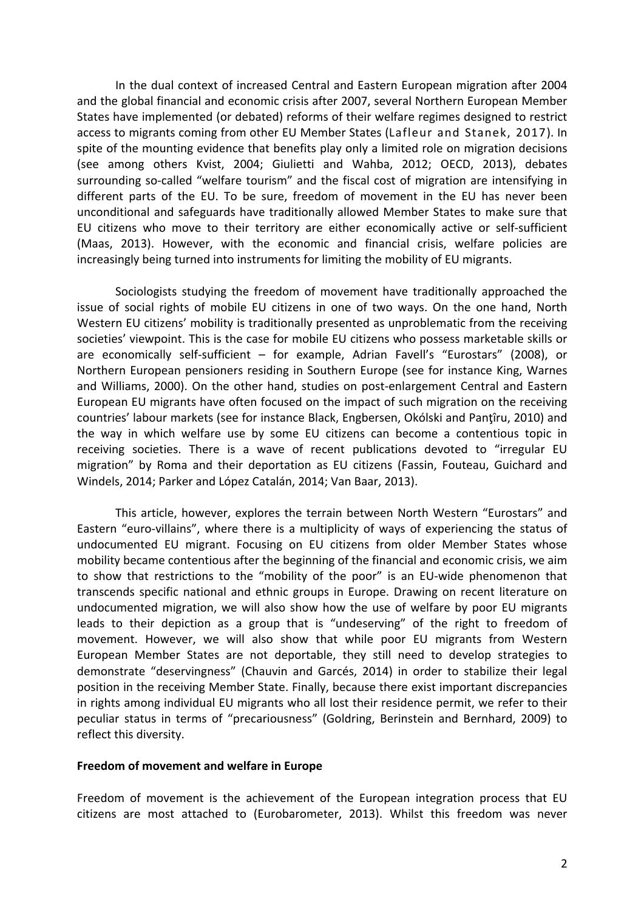In the dual context of increased Central and Eastern European migration after 2004 and the global financial and economic crisis after 2007, several Northern European Member States have implemented (or debated) reforms of their welfare regimes designed to restrict access to migrants coming from other EU Member States (Lafleur and Stanek, 2017). In spite of the mounting evidence that benefits play only a limited role on migration decisions (see among others Kvist, 2004; Giulietti and Wahba, 2012; OECD, 2013), debates surrounding so-called "welfare tourism" and the fiscal cost of migration are intensifying in different parts of the EU. To be sure, freedom of movement in the EU has never been unconditional and safeguards have traditionally allowed Member States to make sure that EU citizens who move to their territory are either economically active or self-sufficient (Maas, 2013). However, with the economic and financial crisis, welfare policies are increasingly being turned into instruments for limiting the mobility of EU migrants.

Sociologists studying the freedom of movement have traditionally approached the issue of social rights of mobile EU citizens in one of two ways. On the one hand, North Western EU citizens' mobility is traditionally presented as unproblematic from the receiving societies' viewpoint. This is the case for mobile EU citizens who possess marketable skills or are economically self-sufficient  $-$  for example, Adrian Favell's "Eurostars" (2008), or Northern European pensioners residing in Southern Europe (see for instance King, Warnes and Williams, 2000). On the other hand, studies on post-enlargement Central and Eastern European EU migrants have often focused on the impact of such migration on the receiving countries' labour markets (see for instance Black, Engbersen, Okólski and Pantîru, 2010) and the way in which welfare use by some EU citizens can become a contentious topic in receiving societies. There is a wave of recent publications devoted to "irregular EU migration" by Roma and their deportation as EU citizens (Fassin, Fouteau, Guichard and Windels, 2014; Parker and López Catalán, 2014; Van Baar, 2013).

This article, however, explores the terrain between North Western "Eurostars" and Eastern "euro-villains", where there is a multiplicity of ways of experiencing the status of undocumented EU migrant. Focusing on EU citizens from older Member States whose mobility became contentious after the beginning of the financial and economic crisis, we aim to show that restrictions to the "mobility of the poor" is an EU-wide phenomenon that transcends specific national and ethnic groups in Europe. Drawing on recent literature on undocumented migration, we will also show how the use of welfare by poor EU migrants leads to their depiction as a group that is "undeserving" of the right to freedom of movement. However, we will also show that while poor EU migrants from Western European Member States are not deportable, they still need to develop strategies to demonstrate "deservingness" (Chauvin and Garcés, 2014) in order to stabilize their legal position in the receiving Member State. Finally, because there exist important discrepancies in rights among individual EU migrants who all lost their residence permit, we refer to their peculiar status in terms of "precariousness" (Goldring, Berinstein and Bernhard, 2009) to reflect this diversity.

#### **Freedom of movement and welfare in Europe**

Freedom of movement is the achievement of the European integration process that EU citizens are most attached to (Eurobarometer, 2013). Whilst this freedom was never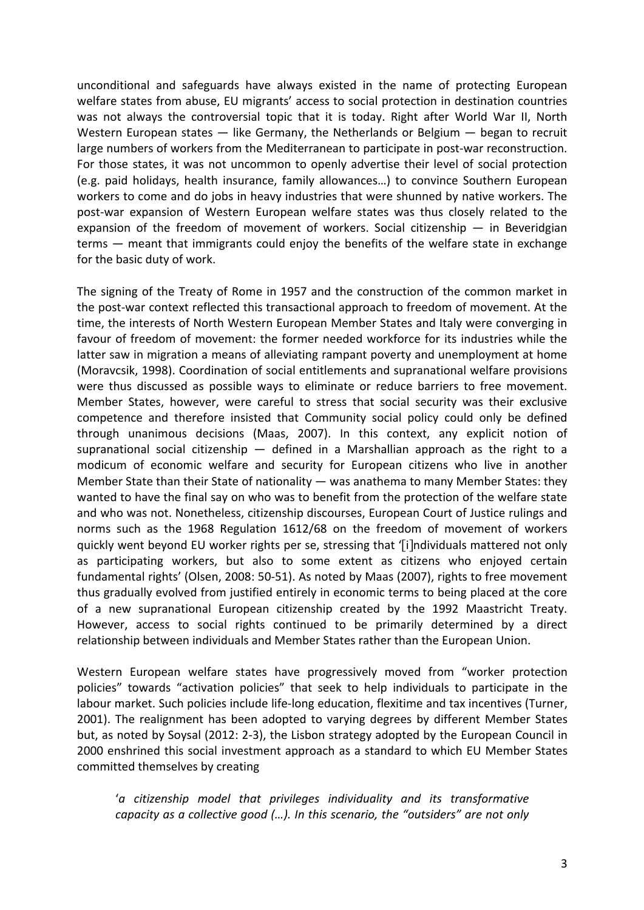unconditional and safeguards have always existed in the name of protecting European welfare states from abuse, EU migrants' access to social protection in destination countries was not always the controversial topic that it is today. Right after World War II, North Western European states  $-$  like Germany, the Netherlands or Belgium  $-$  began to recruit large numbers of workers from the Mediterranean to participate in post-war reconstruction. For those states, it was not uncommon to openly advertise their level of social protection (e.g. paid holidays, health insurance, family allowances...) to convince Southern European workers to come and do jobs in heavy industries that were shunned by native workers. The post-war expansion of Western European welfare states was thus closely related to the expansion of the freedom of movement of workers. Social citizenship  $-$  in Beveridgian  $terms - mean$  terms  $-$  meant that immigrants could enjoy the benefits of the welfare state in exchange for the basic duty of work.

The signing of the Treaty of Rome in 1957 and the construction of the common market in the post-war context reflected this transactional approach to freedom of movement. At the time, the interests of North Western European Member States and Italy were converging in favour of freedom of movement: the former needed workforce for its industries while the latter saw in migration a means of alleviating rampant poverty and unemployment at home (Moravcsik, 1998). Coordination of social entitlements and supranational welfare provisions were thus discussed as possible ways to eliminate or reduce barriers to free movement. Member States, however, were careful to stress that social security was their exclusive competence and therefore insisted that Community social policy could only be defined through unanimous decisions (Maas, 2007). In this context, any explicit notion of supranational social citizenship  $-$  defined in a Marshallian approach as the right to a modicum of economic welfare and security for European citizens who live in another Member State than their State of nationality  $-$  was anathema to many Member States: they wanted to have the final say on who was to benefit from the protection of the welfare state and who was not. Nonetheless, citizenship discourses, European Court of Justice rulings and norms such as the 1968 Regulation 1612/68 on the freedom of movement of workers quickly went beyond EU worker rights per se, stressing that  $\text{[i]}$ ndividuals mattered not only as participating workers, but also to some extent as citizens who enjoyed certain fundamental rights' (Olsen, 2008: 50-51). As noted by Maas (2007), rights to free movement thus gradually evolved from justified entirely in economic terms to being placed at the core of a new supranational European citizenship created by the 1992 Maastricht Treaty. However, access to social rights continued to be primarily determined by a direct relationship between individuals and Member States rather than the European Union.

Western European welfare states have progressively moved from "worker protection policies" towards "activation policies" that seek to help individuals to participate in the labour market. Such policies include life-long education, flexitime and tax incentives (Turner, 2001). The realignment has been adopted to varying degrees by different Member States but, as noted by Soysal (2012: 2-3), the Lisbon strategy adopted by the European Council in 2000 enshrined this social investment approach as a standard to which EU Member States committed themselves by creating

'*a citizenship model that privileges individuality and its transformative capacity* as a collective good (...). In this scenario, the "outsiders" are not only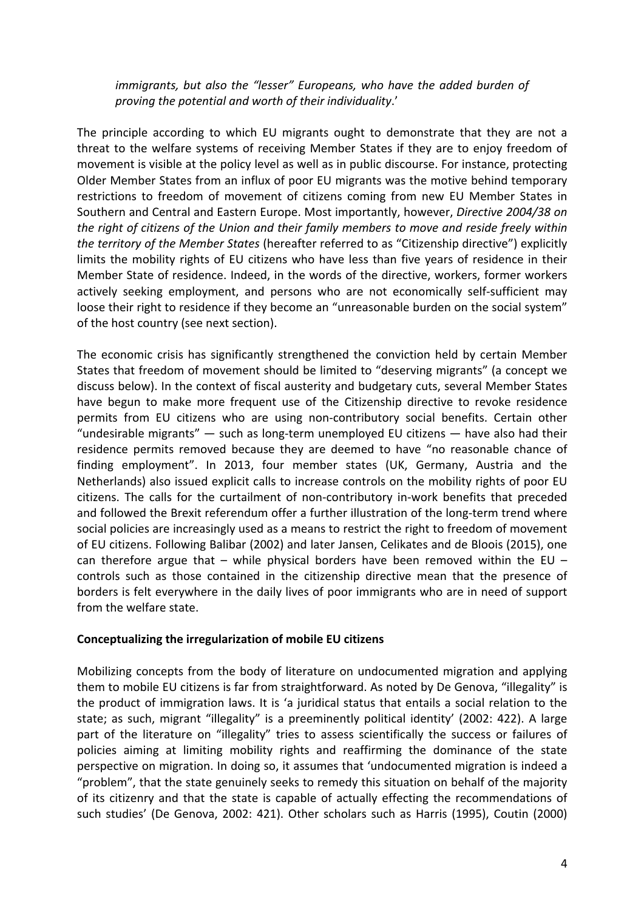*immigrants, but also the "lesser" Europeans, who have the added burden of proving the potential and worth of their individuality*.'

The principle according to which EU migrants ought to demonstrate that they are not a threat to the welfare systems of receiving Member States if they are to enjoy freedom of movement is visible at the policy level as well as in public discourse. For instance, protecting Older Member States from an influx of poor EU migrants was the motive behind temporary restrictions to freedom of movement of citizens coming from new EU Member States in Southern and Central and Eastern Europe. Most importantly, however, *Directive 2004/38 on* the right of citizens of the Union and their family members to move and reside freely within *the territory of the Member States* (hereafter referred to as "Citizenship directive") explicitly limits the mobility rights of EU citizens who have less than five years of residence in their Member State of residence. Indeed, in the words of the directive, workers, former workers actively seeking employment, and persons who are not economically self-sufficient may loose their right to residence if they become an "unreasonable burden on the social system" of the host country (see next section).

The economic crisis has significantly strengthened the conviction held by certain Member States that freedom of movement should be limited to "deserving migrants" (a concept we discuss below). In the context of fiscal austerity and budgetary cuts, several Member States have begun to make more frequent use of the Citizenship directive to revoke residence permits from EU citizens who are using non-contributory social benefits. Certain other "undesirable migrants"  $-$  such as long-term unemployed EU citizens  $-$  have also had their residence permits removed because they are deemed to have "no reasonable chance of finding employment". In 2013, four member states (UK, Germany, Austria and the Netherlands) also issued explicit calls to increase controls on the mobility rights of poor EU citizens. The calls for the curtailment of non-contributory in-work benefits that preceded and followed the Brexit referendum offer a further illustration of the long-term trend where social policies are increasingly used as a means to restrict the right to freedom of movement of EU citizens. Following Balibar (2002) and later Jansen, Celikates and de Bloois (2015), one can therefore argue that – while physical borders have been removed within the EU – controls such as those contained in the citizenship directive mean that the presence of borders is felt everywhere in the daily lives of poor immigrants who are in need of support from the welfare state.

### **Conceptualizing the irregularization of mobile EU citizens**

Mobilizing concepts from the body of literature on undocumented migration and applying them to mobile EU citizens is far from straightforward. As noted by De Genova, "illegality" is the product of immigration laws. It is 'a juridical status that entails a social relation to the state; as such, migrant "illegality" is a preeminently political identity' (2002: 422). A large part of the literature on "illegality" tries to assess scientifically the success or failures of policies aiming at limiting mobility rights and reaffirming the dominance of the state perspective on migration. In doing so, it assumes that 'undocumented migration is indeed a "problem", that the state genuinely seeks to remedy this situation on behalf of the majority of its citizenry and that the state is capable of actually effecting the recommendations of such studies' (De Genova, 2002: 421). Other scholars such as Harris (1995), Coutin (2000)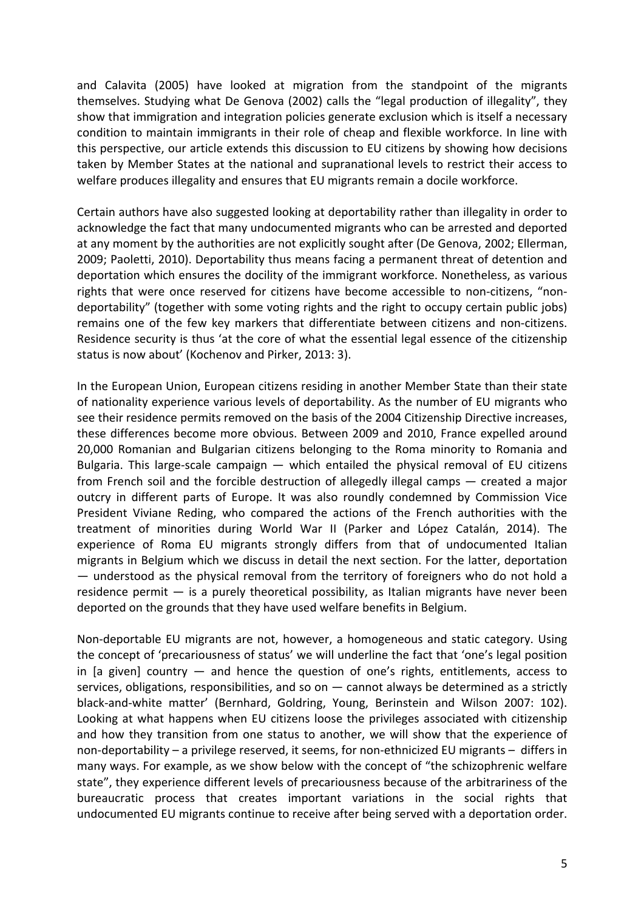and Calavita (2005) have looked at migration from the standpoint of the migrants themselves. Studying what De Genova (2002) calls the "legal production of illegality", they show that immigration and integration policies generate exclusion which is itself a necessary condition to maintain immigrants in their role of cheap and flexible workforce. In line with this perspective, our article extends this discussion to EU citizens by showing how decisions taken by Member States at the national and supranational levels to restrict their access to welfare produces illegality and ensures that EU migrants remain a docile workforce.

Certain authors have also suggested looking at deportability rather than illegality in order to acknowledge the fact that many undocumented migrants who can be arrested and deported at any moment by the authorities are not explicitly sought after (De Genova, 2002; Ellerman, 2009; Paoletti, 2010). Deportability thus means facing a permanent threat of detention and deportation which ensures the docility of the immigrant workforce. Nonetheless, as various rights that were once reserved for citizens have become accessible to non-citizens, "nondeportability" (together with some voting rights and the right to occupy certain public jobs) remains one of the few key markers that differentiate between citizens and non-citizens. Residence security is thus 'at the core of what the essential legal essence of the citizenship status is now about' (Kochenov and Pirker, 2013: 3).

In the European Union, European citizens residing in another Member State than their state of nationality experience various levels of deportability. As the number of EU migrants who see their residence permits removed on the basis of the 2004 Citizenship Directive increases, these differences become more obvious. Between 2009 and 2010, France expelled around 20,000 Romanian and Bulgarian citizens belonging to the Roma minority to Romania and Bulgaria. This large-scale campaign  $-$  which entailed the physical removal of EU citizens from French soil and the forcible destruction of allegedly illegal camps — created a major outcry in different parts of Europe. It was also roundly condemned by Commission Vice President Viviane Reding, who compared the actions of the French authorities with the treatment of minorities during World War II (Parker and López Catalán, 2014). The experience of Roma EU migrants strongly differs from that of undocumented Italian migrants in Belgium which we discuss in detail the next section. For the latter, deportation — understood as the physical removal from the territory of foreigners who do not hold a residence permit  $-$  is a purely theoretical possibility, as Italian migrants have never been deported on the grounds that they have used welfare benefits in Belgium.

Non-deportable EU migrants are not, however, a homogeneous and static category. Using the concept of 'precariousness of status' we will underline the fact that 'one's legal position in [a given] country  $-$  and hence the question of one's rights, entitlements, access to services, obligations, responsibilities, and so on  $-$  cannot always be determined as a strictly black-and-white matter' (Bernhard, Goldring, Young, Berinstein and Wilson 2007: 102). Looking at what happens when EU citizens loose the privileges associated with citizenship and how they transition from one status to another, we will show that the experience of non-deportability – a privilege reserved, it seems, for non-ethnicized EU migrants – differs in many ways. For example, as we show below with the concept of "the schizophrenic welfare state", they experience different levels of precariousness because of the arbitrariness of the bureaucratic process that creates important variations in the social rights that undocumented EU migrants continue to receive after being served with a deportation order.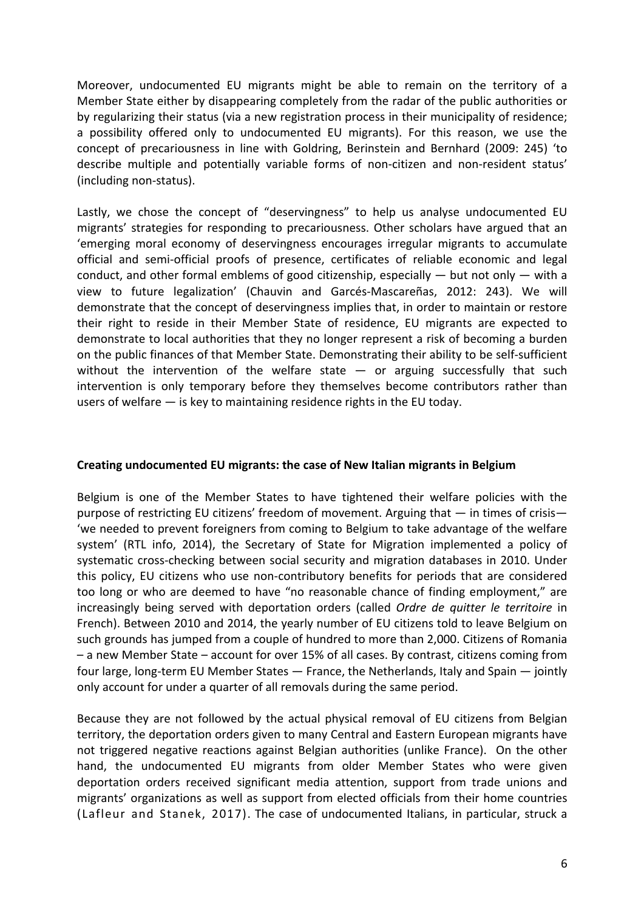Moreover, undocumented EU migrants might be able to remain on the territory of a Member State either by disappearing completely from the radar of the public authorities or by regularizing their status (via a new registration process in their municipality of residence; a possibility offered only to undocumented EU migrants). For this reason, we use the concept of precariousness in line with Goldring, Berinstein and Bernhard (2009: 245) 'to describe multiple and potentially variable forms of non-citizen and non-resident status' (including non-status).

Lastly, we chose the concept of "deservingness" to help us analyse undocumented EU migrants' strategies for responding to precariousness. Other scholars have argued that an 'emerging moral economy of deservingness encourages irregular migrants to accumulate official and semi-official proofs of presence, certificates of reliable economic and legal conduct, and other formal emblems of good citizenship, especially  $-$  but not only  $-$  with a view to future legalization' (Chauvin and Garcés-Mascareñas, 2012: 243). We will demonstrate that the concept of deservingness implies that, in order to maintain or restore their right to reside in their Member State of residence, EU migrants are expected to demonstrate to local authorities that they no longer represent a risk of becoming a burden on the public finances of that Member State. Demonstrating their ability to be self-sufficient without the intervention of the welfare state  $-$  or arguing successfully that such intervention is only temporary before they themselves become contributors rather than users of welfare  $-$  is key to maintaining residence rights in the EU today.

### **Creating undocumented EU migrants: the case of New Italian migrants in Belgium**

Belgium is one of the Member States to have tightened their welfare policies with the purpose of restricting EU citizens' freedom of movement. Arguing that  $-$  in times of crisis— 'we needed to prevent foreigners from coming to Belgium to take advantage of the welfare system' (RTL info, 2014), the Secretary of State for Migration implemented a policy of systematic cross-checking between social security and migration databases in 2010. Under this policy, EU citizens who use non-contributory benefits for periods that are considered too long or who are deemed to have "no reasonable chance of finding employment," are increasingly being served with deportation orders (called Ordre de quitter le territoire in French). Between 2010 and 2014, the yearly number of EU citizens told to leave Belgium on such grounds has jumped from a couple of hundred to more than 2,000. Citizens of Romania  $-$  a new Member State  $-$  account for over 15% of all cases. By contrast, citizens coming from four large, long-term EU Member States  $-$  France, the Netherlands, Italy and Spain  $-$  jointly only account for under a quarter of all removals during the same period.

Because they are not followed by the actual physical removal of EU citizens from Belgian territory, the deportation orders given to many Central and Eastern European migrants have not triggered negative reactions against Belgian authorities (unlike France). On the other hand, the undocumented EU migrants from older Member States who were given deportation orders received significant media attention, support from trade unions and migrants' organizations as well as support from elected officials from their home countries (Lafleur and Stanek, 2017). The case of undocumented Italians, in particular, struck a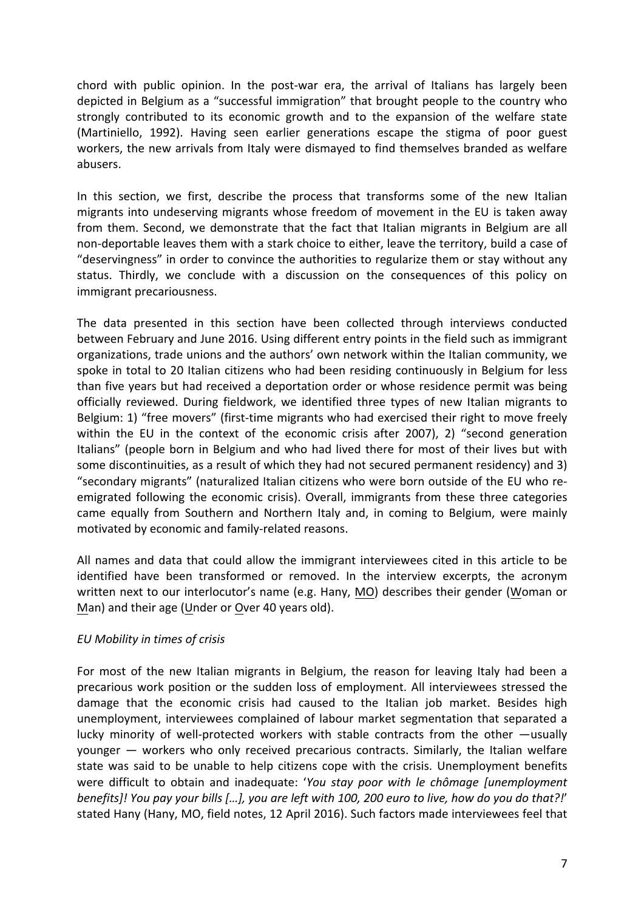chord with public opinion. In the post-war era, the arrival of Italians has largely been depicted in Belgium as a "successful immigration" that brought people to the country who strongly contributed to its economic growth and to the expansion of the welfare state (Martiniello, 1992). Having seen earlier generations escape the stigma of poor guest workers, the new arrivals from Italy were dismayed to find themselves branded as welfare abusers. 

In this section, we first, describe the process that transforms some of the new Italian migrants into undeserving migrants whose freedom of movement in the EU is taken away from them. Second, we demonstrate that the fact that Italian migrants in Belgium are all non-deportable leaves them with a stark choice to either, leave the territory, build a case of "deservingness" in order to convince the authorities to regularize them or stay without any status. Thirdly, we conclude with a discussion on the consequences of this policy on immigrant precariousness.

The data presented in this section have been collected through interviews conducted between February and June 2016. Using different entry points in the field such as immigrant organizations, trade unions and the authors' own network within the Italian community, we spoke in total to 20 Italian citizens who had been residing continuously in Belgium for less than five years but had received a deportation order or whose residence permit was being officially reviewed. During fieldwork, we identified three types of new Italian migrants to Belgium: 1) "free movers" (first-time migrants who had exercised their right to move freely within the EU in the context of the economic crisis after 2007), 2) "second generation Italians" (people born in Belgium and who had lived there for most of their lives but with some discontinuities, as a result of which they had not secured permanent residency) and 3) "secondary migrants" (naturalized Italian citizens who were born outside of the EU who reemigrated following the economic crisis). Overall, immigrants from these three categories came equally from Southern and Northern Italy and, in coming to Belgium, were mainly motivated by economic and family-related reasons.

All names and data that could allow the immigrant interviewees cited in this article to be identified have been transformed or removed. In the interview excerpts, the acronym written next to our interlocutor's name (e.g. Hany, MO) describes their gender (Woman or Man) and their age (Under or Over 40 years old).

# *EU Mobility in times of crisis*

For most of the new Italian migrants in Belgium, the reason for leaving Italy had been a precarious work position or the sudden loss of employment. All interviewees stressed the damage that the economic crisis had caused to the Italian job market. Besides high unemployment, interviewees complained of labour market segmentation that separated a lucky minority of well-protected workers with stable contracts from the other —usually younger  $-$  workers who only received precarious contracts. Similarly, the Italian welfare state was said to be unable to help citizens cope with the crisis. Unemployment benefits were difficult to obtain and inadequate: 'You stay poor with le chômage *[unemployment benefits]! You pay your bills […], you are left with 100, 200 euro to live, how do you do that?!*' stated Hany (Hany, MO, field notes, 12 April 2016). Such factors made interviewees feel that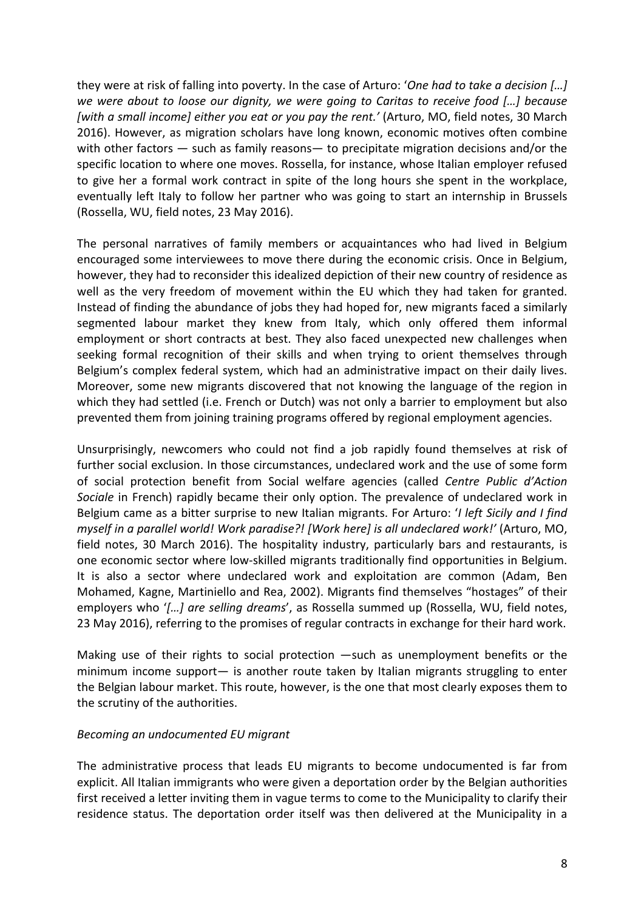they were at risk of falling into poverty. In the case of Arturo: 'One had to take a decision [...] *we* were about to loose our dignity, we were going to Caritas to receive food [...] because *[with a small income] either you eat or you pay the rent.'* (Arturo, MO, field notes, 30 March 2016). However, as migration scholars have long known, economic motives often combine with other factors  $-$  such as family reasons— to precipitate migration decisions and/or the specific location to where one moves. Rossella, for instance, whose Italian employer refused to give her a formal work contract in spite of the long hours she spent in the workplace, eventually left Italy to follow her partner who was going to start an internship in Brussels (Rossella, WU, field notes, 23 May 2016).

The personal narratives of family members or acquaintances who had lived in Belgium encouraged some interviewees to move there during the economic crisis. Once in Belgium, however, they had to reconsider this idealized depiction of their new country of residence as well as the very freedom of movement within the EU which they had taken for granted. Instead of finding the abundance of jobs they had hoped for, new migrants faced a similarly segmented labour market they knew from Italy, which only offered them informal employment or short contracts at best. They also faced unexpected new challenges when seeking formal recognition of their skills and when trying to orient themselves through Belgium's complex federal system, which had an administrative impact on their daily lives. Moreover, some new migrants discovered that not knowing the language of the region in which they had settled (i.e. French or Dutch) was not only a barrier to employment but also prevented them from joining training programs offered by regional employment agencies.

Unsurprisingly, newcomers who could not find a job rapidly found themselves at risk of further social exclusion. In those circumstances, undeclared work and the use of some form of social protection benefit from Social welfare agencies (called *Centre Public d'Action Sociale* in French) rapidly became their only option. The prevalence of undeclared work in Belgium came as a bitter surprise to new Italian migrants. For Arturo: '*I left Sicily and I find myself in a parallel world! Work paradise?! [Work here] is all undeclared work!'* (Arturo, MO, field notes, 30 March 2016). The hospitality industry, particularly bars and restaurants, is one economic sector where low-skilled migrants traditionally find opportunities in Belgium. It is also a sector where undeclared work and exploitation are common (Adam, Ben Mohamed, Kagne, Martiniello and Rea, 2002). Migrants find themselves "hostages" of their employers who '[...] are selling dreams', as Rossella summed up (Rossella, WU, field notes, 23 May 2016), referring to the promises of regular contracts in exchange for their hard work.

Making use of their rights to social protection  $-$ such as unemployment benefits or the minimum income support— is another route taken by Italian migrants struggling to enter the Belgian labour market. This route, however, is the one that most clearly exposes them to the scrutiny of the authorities.

# *Becoming an undocumented EU migrant*

The administrative process that leads EU migrants to become undocumented is far from explicit. All Italian immigrants who were given a deportation order by the Belgian authorities first received a letter inviting them in vague terms to come to the Municipality to clarify their residence status. The deportation order itself was then delivered at the Municipality in a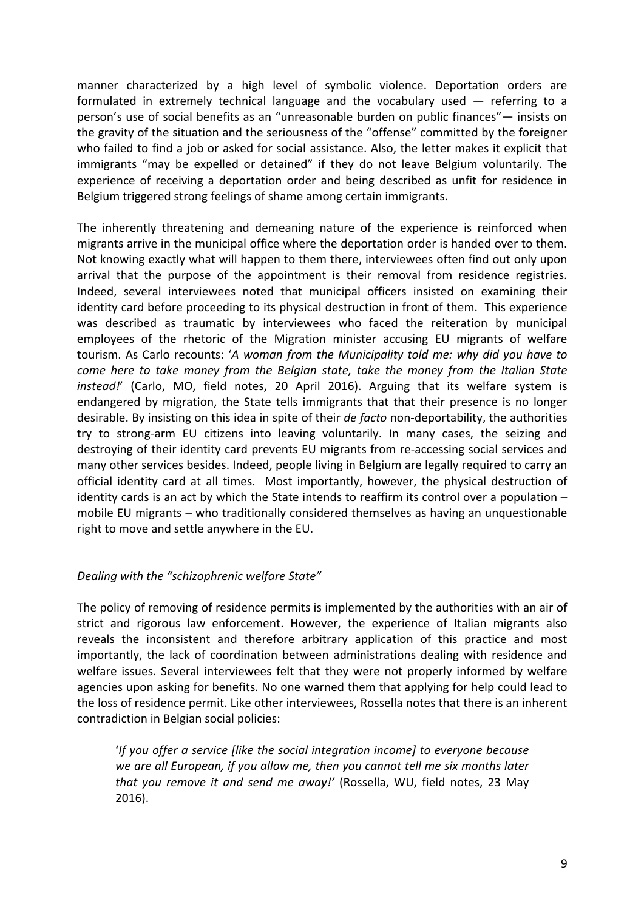manner characterized by a high level of symbolic violence. Deportation orders are formulated in extremely technical language and the vocabulary used  $-$  referring to a person's use of social benefits as an "unreasonable burden on public finances"— insists on the gravity of the situation and the seriousness of the "offense" committed by the foreigner who failed to find a job or asked for social assistance. Also, the letter makes it explicit that immigrants "may be expelled or detained" if they do not leave Belgium voluntarily. The experience of receiving a deportation order and being described as unfit for residence in Belgium triggered strong feelings of shame among certain immigrants.

The inherently threatening and demeaning nature of the experience is reinforced when migrants arrive in the municipal office where the deportation order is handed over to them. Not knowing exactly what will happen to them there, interviewees often find out only upon arrival that the purpose of the appointment is their removal from residence registries. Indeed, several interviewees noted that municipal officers insisted on examining their identity card before proceeding to its physical destruction in front of them. This experience was described as traumatic by interviewees who faced the reiteration by municipal employees of the rhetoric of the Migration minister accusing EU migrants of welfare tourism. As Carlo recounts: 'A woman from the Municipality told me: why did you have to *come here to take money from the Belgian state, take the money from the Italian State instead!'* (Carlo, MO, field notes, 20 April 2016). Arguing that its welfare system is endangered by migration, the State tells immigrants that that their presence is no longer desirable. By insisting on this idea in spite of their *de facto* non-deportability, the authorities try to strong-arm EU citizens into leaving voluntarily. In many cases, the seizing and destroying of their identity card prevents EU migrants from re-accessing social services and many other services besides. Indeed, people living in Belgium are legally required to carry an official identity card at all times. Most importantly, however, the physical destruction of identity cards is an act by which the State intends to reaffirm its control over a population  $$ mobile  $EU$  migrants – who traditionally considered themselves as having an unquestionable right to move and settle anywhere in the EU.

# *Dealing with the "schizophrenic welfare State"*

The policy of removing of residence permits is implemented by the authorities with an air of strict and rigorous law enforcement. However, the experience of Italian migrants also reveals the inconsistent and therefore arbitrary application of this practice and most importantly, the lack of coordination between administrations dealing with residence and welfare issues. Several interviewees felt that they were not properly informed by welfare agencies upon asking for benefits. No one warned them that applying for help could lead to the loss of residence permit. Like other interviewees, Rossella notes that there is an inherent contradiction in Belgian social policies:

*'If you offer a service [like the social integration income] to everyone because* we are all European, if you allow me, then you cannot tell me six months later that you remove it and send me away!' (Rossella, WU, field notes, 23 May 2016).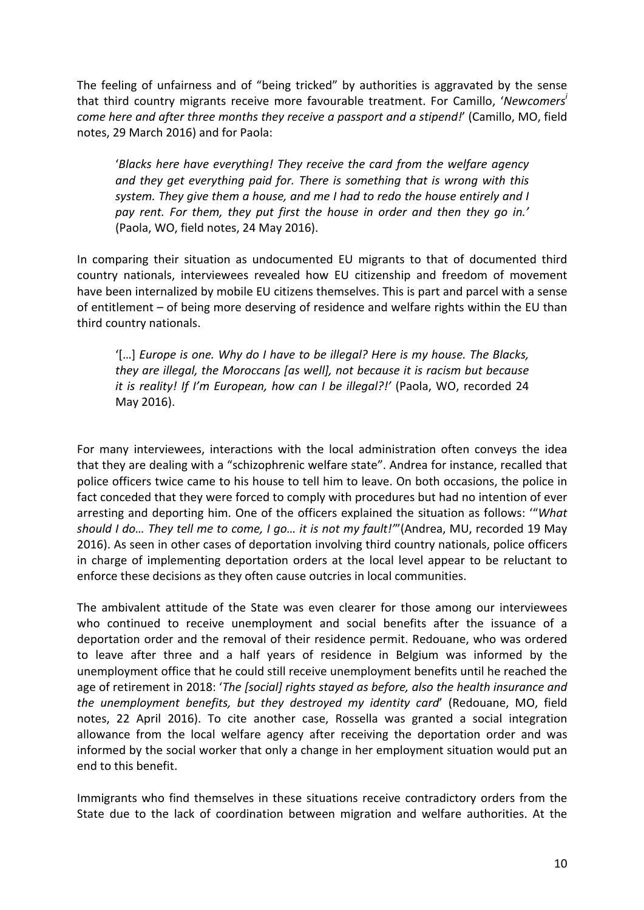The feeling of unfairness and of "being tricked" by authorities is aggravated by the sense that third country migrants receive more favourable treatment. For Camillo, '*Newcomers<sup>i</sup> come here and after three months they receive a passport and a stipend!'* (Camillo, MO, field notes, 29 March 2016) and for Paola:

'*Blacks* here have everything! They receive the card from the welfare agency and they get everything paid for. There is something that is wrong with this *system.* They give them a house, and me I had to redo the house entirely and I pay rent. For them, they put first the house in order and then they go in.' (Paola, WO, field notes, 24 May 2016).

In comparing their situation as undocumented EU migrants to that of documented third country nationals, interviewees revealed how EU citizenship and freedom of movement have been internalized by mobile EU citizens themselves. This is part and parcel with a sense of entitlement  $-$  of being more deserving of residence and welfare rights within the EU than third country nationals.

'[...] *Europe is one.* Why do I have to be illegal? Here is my house. The Blacks, *they are illegal, the Moroccans [as well], not because it is racism but because it is reality! If I'm European, how can I be illegal?!'* (Paola, WO, recorded 24 May 2016).

For many interviewees, interactions with the local administration often conveys the idea that they are dealing with a "schizophrenic welfare state". Andrea for instance, recalled that police officers twice came to his house to tell him to leave. On both occasions, the police in fact conceded that they were forced to comply with procedures but had no intention of ever arresting and deporting him. One of the officers explained the situation as follows: "*What should* I do... They tell me to come, I go... it is not my fault!'"(Andrea, MU, recorded 19 May 2016). As seen in other cases of deportation involving third country nationals, police officers in charge of implementing deportation orders at the local level appear to be reluctant to enforce these decisions as they often cause outcries in local communities.

The ambivalent attitude of the State was even clearer for those among our interviewees who continued to receive unemployment and social benefits after the issuance of a deportation order and the removal of their residence permit. Redouane, who was ordered to leave after three and a half years of residence in Belgium was informed by the unemployment office that he could still receive unemployment benefits until he reached the age of retirement in 2018: 'The [social] rights stayed as before, also the health insurance and the unemployment benefits, but they destroyed my identity card' (Redouane, MO, field notes, 22 April 2016). To cite another case, Rossella was granted a social integration allowance from the local welfare agency after receiving the deportation order and was informed by the social worker that only a change in her employment situation would put an end to this benefit.

Immigrants who find themselves in these situations receive contradictory orders from the State due to the lack of coordination between migration and welfare authorities. At the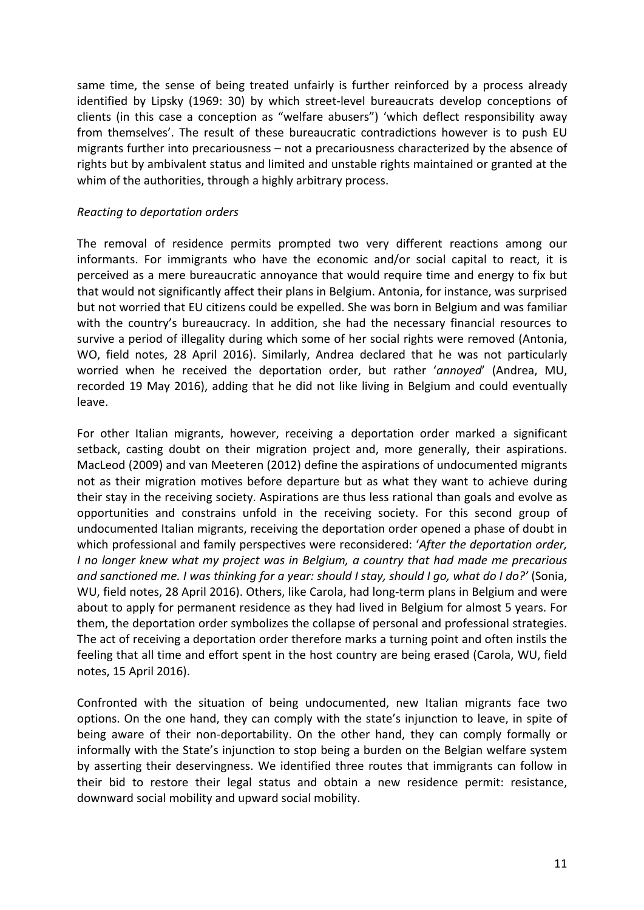same time, the sense of being treated unfairly is further reinforced by a process already identified by Lipsky (1969: 30) by which street-level bureaucrats develop conceptions of clients (in this case a conception as "welfare abusers") 'which deflect responsibility away from themselves'. The result of these bureaucratic contradictions however is to push EU migrants further into precariousness  $-$  not a precariousness characterized by the absence of rights but by ambivalent status and limited and unstable rights maintained or granted at the whim of the authorities, through a highly arbitrary process.

### *Reacting to deportation orders*

The removal of residence permits prompted two very different reactions among our informants. For immigrants who have the economic and/or social capital to react, it is perceived as a mere bureaucratic annoyance that would require time and energy to fix but that would not significantly affect their plans in Belgium. Antonia, for instance, was surprised but not worried that EU citizens could be expelled. She was born in Belgium and was familiar with the country's bureaucracy. In addition, she had the necessary financial resources to survive a period of illegality during which some of her social rights were removed (Antonia, WO, field notes, 28 April 2016). Similarly, Andrea declared that he was not particularly worried when he received the deportation order, but rather 'annoyed' (Andrea, MU, recorded 19 May 2016), adding that he did not like living in Belgium and could eventually leave. 

For other Italian migrants, however, receiving a deportation order marked a significant setback, casting doubt on their migration project and, more generally, their aspirations. MacLeod (2009) and van Meeteren (2012) define the aspirations of undocumented migrants not as their migration motives before departure but as what they want to achieve during their stay in the receiving society. Aspirations are thus less rational than goals and evolve as opportunities and constrains unfold in the receiving society. For this second group of undocumented Italian migrants, receiving the deportation order opened a phase of doubt in which professional and family perspectives were reconsidered: 'After the deportation order, *I* no longer knew what my project was in Belgium, a country that had made me precarious and sanctioned me. I was thinking for a year: should I stay, should I go, what do I do?' (Sonia, WU, field notes, 28 April 2016). Others, like Carola, had long-term plans in Belgium and were about to apply for permanent residence as they had lived in Belgium for almost 5 years. For them, the deportation order symbolizes the collapse of personal and professional strategies. The act of receiving a deportation order therefore marks a turning point and often instils the feeling that all time and effort spent in the host country are being erased (Carola, WU, field notes, 15 April 2016). 

Confronted with the situation of being undocumented, new Italian migrants face two options. On the one hand, they can comply with the state's injunction to leave, in spite of being aware of their non-deportability. On the other hand, they can comply formally or informally with the State's injunction to stop being a burden on the Belgian welfare system by asserting their deservingness. We identified three routes that immigrants can follow in their bid to restore their legal status and obtain a new residence permit: resistance, downward social mobility and upward social mobility.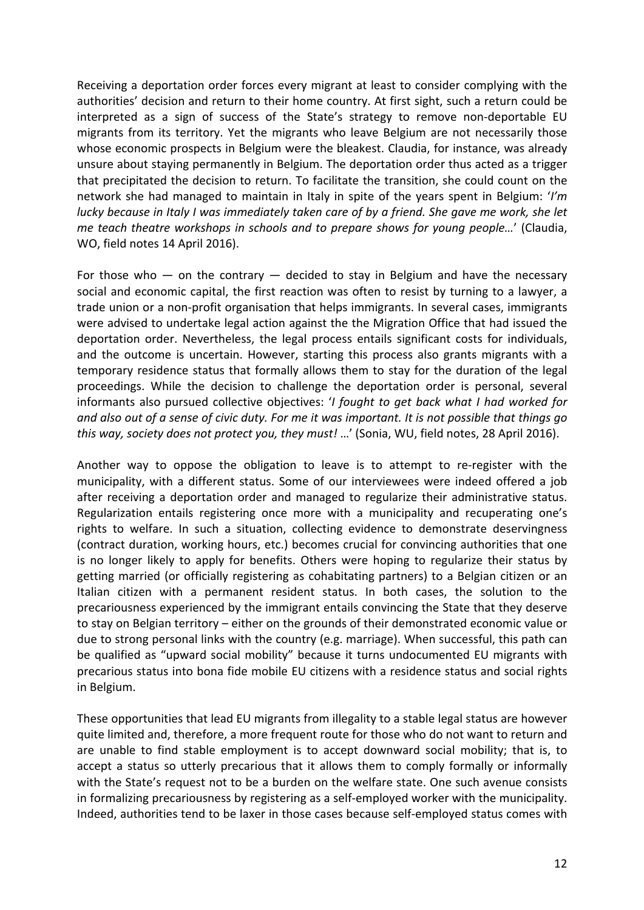Receiving a deportation order forces every migrant at least to consider complying with the authorities' decision and return to their home country. At first sight, such a return could be interpreted as a sign of success of the State's strategy to remove non-deportable EU migrants from its territory. Yet the migrants who leave Belgium are not necessarily those whose economic prospects in Belgium were the bleakest. Claudia, for instance, was already unsure about staying permanently in Belgium. The deportation order thus acted as a trigger that precipitated the decision to return. To facilitate the transition, she could count on the network she had managed to maintain in Italy in spite of the years spent in Belgium: '*I'm lucky* because in Italy I was immediately taken care of by a friend. She gave me work, she let *me teach theatre workshops in schools and to prepare shows for young people...'* (Claudia, WO, field notes 14 April 2016).

For those who  $-$  on the contrary  $-$  decided to stay in Belgium and have the necessary social and economic capital, the first reaction was often to resist by turning to a lawyer, a trade union or a non-profit organisation that helps immigrants. In several cases, immigrants were advised to undertake legal action against the the Migration Office that had issued the deportation order. Nevertheless, the legal process entails significant costs for individuals, and the outcome is uncertain. However, starting this process also grants migrants with a temporary residence status that formally allows them to stay for the duration of the legal proceedings. While the decision to challenge the deportation order is personal, several informants also pursued collective objectives: '*I fought to get back what I had worked for and* also out of a sense of civic duty. For me it was important. It is not possible that things go *this* way, society does not protect you, they must! ...' (Sonia, WU, field notes, 28 April 2016).

Another way to oppose the obligation to leave is to attempt to re-register with the municipality, with a different status. Some of our interviewees were indeed offered a job after receiving a deportation order and managed to regularize their administrative status. Regularization entails registering once more with a municipality and recuperating one's rights to welfare. In such a situation, collecting evidence to demonstrate deservingness (contract duration, working hours, etc.) becomes crucial for convincing authorities that one is no longer likely to apply for benefits. Others were hoping to regularize their status by getting married (or officially registering as cohabitating partners) to a Belgian citizen or an Italian citizen with a permanent resident status. In both cases, the solution to the precariousness experienced by the immigrant entails convincing the State that they deserve to stay on Belgian territory – either on the grounds of their demonstrated economic value or due to strong personal links with the country (e.g. marriage). When successful, this path can be qualified as "upward social mobility" because it turns undocumented EU migrants with precarious status into bona fide mobile EU citizens with a residence status and social rights in Belgium.

These opportunities that lead EU migrants from illegality to a stable legal status are however quite limited and, therefore, a more frequent route for those who do not want to return and are unable to find stable employment is to accept downward social mobility; that is, to accept a status so utterly precarious that it allows them to comply formally or informally with the State's request not to be a burden on the welfare state. One such avenue consists in formalizing precariousness by registering as a self-employed worker with the municipality. Indeed, authorities tend to be laxer in those cases because self-employed status comes with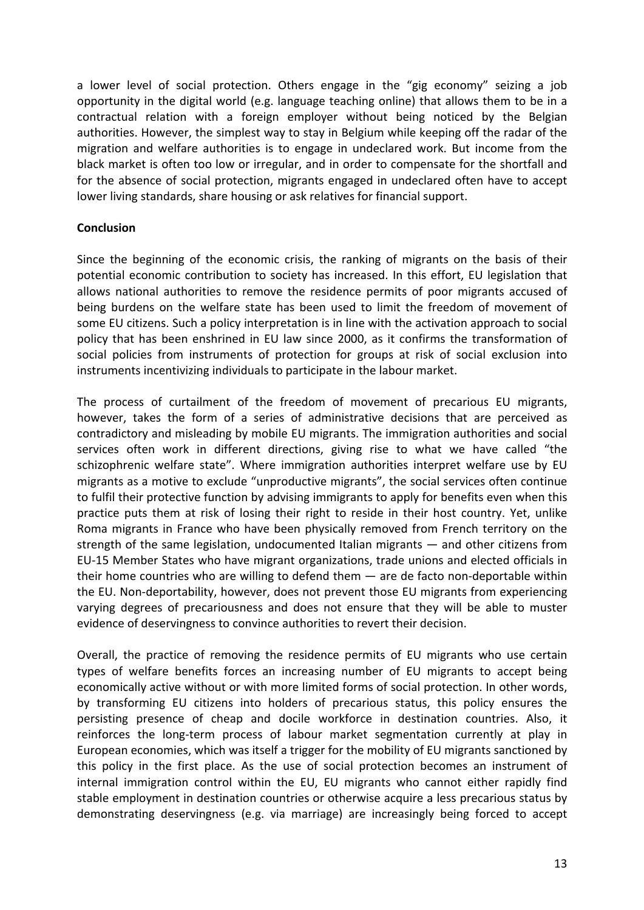a lower level of social protection. Others engage in the "gig economy" seizing a job opportunity in the digital world (e.g. language teaching online) that allows them to be in a contractual relation with a foreign employer without being noticed by the Belgian authorities. However, the simplest way to stay in Belgium while keeping off the radar of the migration and welfare authorities is to engage in undeclared work. But income from the black market is often too low or irregular, and in order to compensate for the shortfall and for the absence of social protection, migrants engaged in undeclared often have to accept lower living standards, share housing or ask relatives for financial support.

# **Conclusion**

Since the beginning of the economic crisis, the ranking of migrants on the basis of their potential economic contribution to society has increased. In this effort, EU legislation that allows national authorities to remove the residence permits of poor migrants accused of being burdens on the welfare state has been used to limit the freedom of movement of some EU citizens. Such a policy interpretation is in line with the activation approach to social policy that has been enshrined in EU law since 2000, as it confirms the transformation of social policies from instruments of protection for groups at risk of social exclusion into instruments incentivizing individuals to participate in the labour market.

The process of curtailment of the freedom of movement of precarious EU migrants, however, takes the form of a series of administrative decisions that are perceived as contradictory and misleading by mobile EU migrants. The immigration authorities and social services often work in different directions, giving rise to what we have called "the schizophrenic welfare state". Where immigration authorities interpret welfare use by EU migrants as a motive to exclude "unproductive migrants", the social services often continue to fulfil their protective function by advising immigrants to apply for benefits even when this practice puts them at risk of losing their right to reside in their host country. Yet, unlike Roma migrants in France who have been physically removed from French territory on the strength of the same legislation, undocumented Italian migrants  $-$  and other citizens from EU-15 Member States who have migrant organizations, trade unions and elected officials in their home countries who are willing to defend them  $-$  are de facto non-deportable within the EU. Non-deportability, however, does not prevent those EU migrants from experiencing varying degrees of precariousness and does not ensure that they will be able to muster evidence of deservingness to convince authorities to revert their decision.

Overall, the practice of removing the residence permits of EU migrants who use certain types of welfare benefits forces an increasing number of EU migrants to accept being economically active without or with more limited forms of social protection. In other words, by transforming EU citizens into holders of precarious status, this policy ensures the persisting presence of cheap and docile workforce in destination countries. Also, it reinforces the long-term process of labour market segmentation currently at play in European economies, which was itself a trigger for the mobility of EU migrants sanctioned by this policy in the first place. As the use of social protection becomes an instrument of internal immigration control within the EU, EU migrants who cannot either rapidly find stable employment in destination countries or otherwise acquire a less precarious status by demonstrating deservingness (e.g. via marriage) are increasingly being forced to accept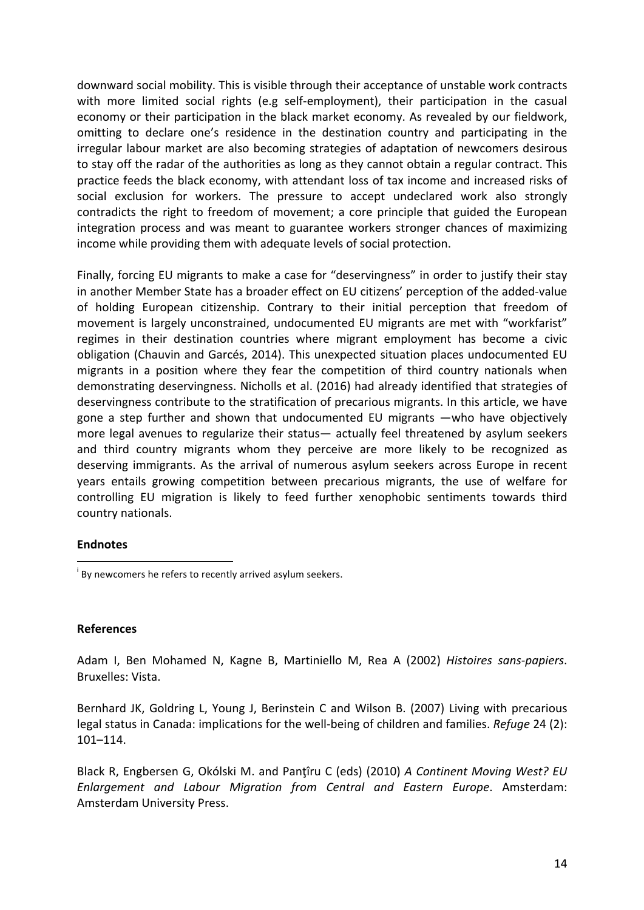downward social mobility. This is visible through their acceptance of unstable work contracts with more limited social rights (e.g self-employment), their participation in the casual economy or their participation in the black market economy. As revealed by our fieldwork, omitting to declare one's residence in the destination country and participating in the irregular labour market are also becoming strategies of adaptation of newcomers desirous to stay off the radar of the authorities as long as they cannot obtain a regular contract. This practice feeds the black economy, with attendant loss of tax income and increased risks of social exclusion for workers. The pressure to accept undeclared work also strongly contradicts the right to freedom of movement; a core principle that guided the European integration process and was meant to guarantee workers stronger chances of maximizing income while providing them with adequate levels of social protection.

Finally, forcing EU migrants to make a case for "deservingness" in order to justify their stay in another Member State has a broader effect on EU citizens' perception of the added-value of holding European citizenship. Contrary to their initial perception that freedom of movement is largely unconstrained, undocumented EU migrants are met with "workfarist" regimes in their destination countries where migrant employment has become a civic obligation (Chauvin and Garcés, 2014). This unexpected situation places undocumented EU migrants in a position where they fear the competition of third country nationals when demonstrating deservingness. Nicholls et al. (2016) had already identified that strategies of deservingness contribute to the stratification of precarious migrants. In this article, we have gone a step further and shown that undocumented EU migrants —who have objectively more legal avenues to regularize their status— actually feel threatened by asylum seekers and third country migrants whom they perceive are more likely to be recognized as deserving immigrants. As the arrival of numerous asylum seekers across Europe in recent years entails growing competition between precarious migrants, the use of welfare for controlling EU migration is likely to feed further xenophobic sentiments towards third country nationals.

### **Endnotes**

### **References**

Adam I, Ben Mohamed N, Kagne B, Martiniello M, Rea A (2002) *Histoires sans-papiers*. Bruxelles: Vista.

Bernhard JK, Goldring L, Young J, Berinstein C and Wilson B. (2007) Living with precarious legal status in Canada: implications for the well-being of children and families. *Refuge* 24 (2): 101–114.

Black R, Engbersen G, Okólski M. and Pantîru C (eds) (2010) *A Continent Moving West? EU Enlargement and Labour Migration from Central and Eastern Europe*. Amsterdam: Amsterdam University Press.

 <sup>i</sup> By newcomers he refers to recently arrived asylum seekers.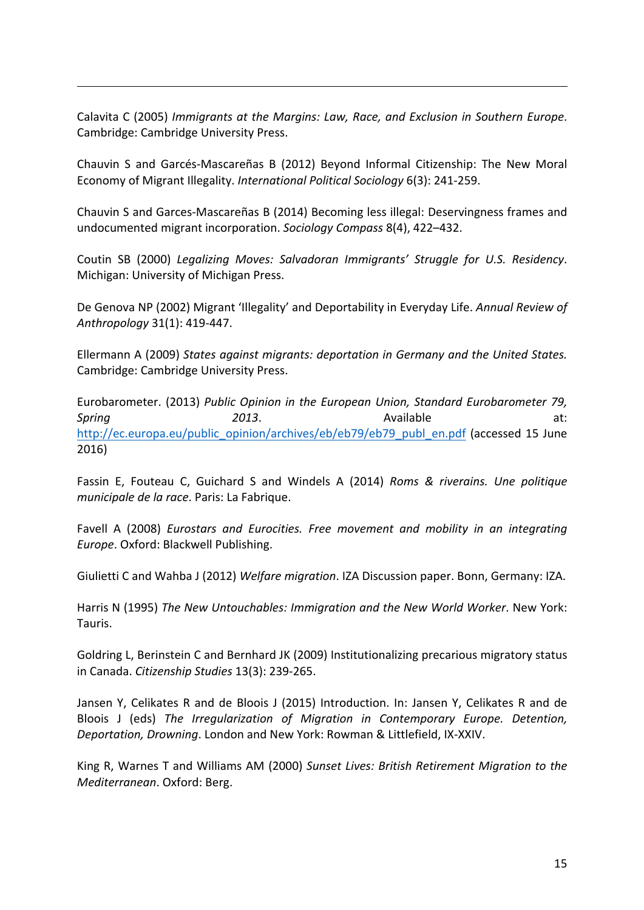Calavita C (2005) *Immigrants at the Margins: Law, Race, and Exclusion in Southern Europe.* Cambridge: Cambridge University Press.

<u> Alexandria de la contrada de la contrada de la contrada de la contrada de la contrada de la contrada de la c</u>

Chauvin S and Garcés-Mascareñas B (2012) Beyond Informal Citizenship: The New Moral Economy of Migrant Illegality. *International Political Sociology* 6(3): 241-259.

Chauvin S and Garces-Mascareñas B (2014) Becoming less illegal: Deservingness frames and undocumented migrant incorporation. Sociology Compass 8(4), 422-432.

Coutin SB (2000) *Legalizing Moves: Salvadoran Immigrants' Struggle for U.S. Residency.* Michigan: University of Michigan Press.

De Genova NP (2002) Migrant 'Illegality' and Deportability in Everyday Life. Annual Review of *Anthropology* 31(1): 419-447.

Ellermann A (2009) States against migrants: deportation in Germany and the United States. Cambridge: Cambridge University Press.

Eurobarometer. (2013) *Public Opinion in the European Union, Standard Eurobarometer 79,* Spring and *2013*. Available at: http://ec.europa.eu/public\_opinion/archives/eb/eb79/eb79\_publ\_en.pdf (accessed 15 June 2016)

Fassin E, Fouteau C, Guichard S and Windels A (2014) *Roms & riverains. Une politique municipale de la race*. Paris: La Fabrique.

Favell A (2008) *Eurostars and Eurocities. Free movement and mobility in an integrating Europe.* Oxford: Blackwell Publishing.

Giulietti C and Wahba J (2012) *Welfare migration*. IZA Discussion paper. Bonn, Germany: IZA.

Harris N (1995) The New Untouchables: Immigration and the New World Worker. New York: Tauris.

Goldring L, Berinstein C and Bernhard JK (2009) Institutionalizing precarious migratory status in Canada. *Citizenship Studies* 13(3): 239-265.

Jansen Y, Celikates R and de Bloois J (2015) Introduction. In: Jansen Y, Celikates R and de Bloois J (eds) The *Irregularization* of Migration in Contemporary Europe. Detention, *Deportation, Drowning*. London and New York: Rowman & Littlefield, IX-XXIV.

King R, Warnes T and Williams AM (2000) Sunset Lives: British Retirement Migration to the *Mediterranean*. Oxford: Berg.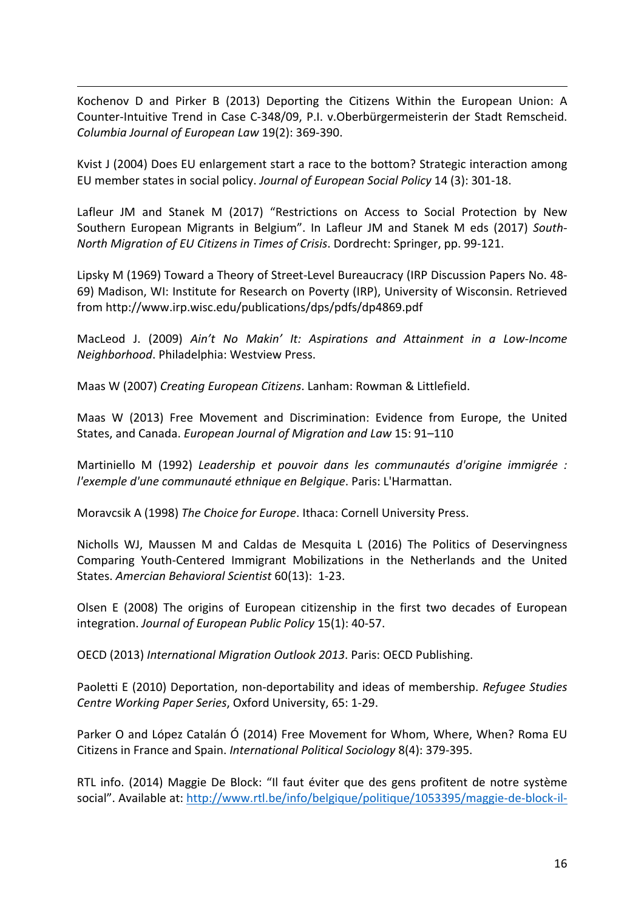Kochenov D and Pirker B (2013) Deporting the Citizens Within the European Union: A Counter-Intuitive Trend in Case C-348/09, P.I. v.Oberbürgermeisterin der Stadt Remscheid. *Columbia Journal of European Law* 19(2): 369-390.

<u> Alexandria de la contrada de la contrada de la contrada de la contrada de la contrada de la contrada de la c</u>

Kvist J (2004) Does EU enlargement start a race to the bottom? Strategic interaction among EU member states in social policy. *Journal of European Social Policy* 14 (3): 301-18.

Lafleur JM and Stanek M (2017) "Restrictions on Access to Social Protection by New Southern European Migrants in Belgium". In Lafleur JM and Stanek M eds (2017) South-*North Migration of EU Citizens in Times of Crisis. Dordrecht: Springer, pp. 99-121.* 

Lipsky M (1969) Toward a Theory of Street-Level Bureaucracy (IRP Discussion Papers No. 48-69) Madison, WI: Institute for Research on Poverty (IRP), University of Wisconsin. Retrieved from http://www.irp.wisc.edu/publications/dps/pdfs/dp4869.pdf

MacLeod J. (2009) Ain't No Makin' It: Aspirations and Attainment in a Low-Income *Neighborhood*. Philadelphia: Westview Press.

Maas W (2007) *Creating European Citizens*. Lanham: Rowman & Littlefield.

Maas W (2013) Free Movement and Discrimination: Evidence from Europe, the United States, and Canada. *European Journal of Migration and Law* 15: 91-110

Martiniello M (1992) *Leadership et pouvoir dans les communautés d'origine immigrée : l'exemple d'une communauté ethnique en Belgique*. Paris: L'Harmattan.

Moravcsik A (1998) *The Choice for Europe*. Ithaca: Cornell University Press.

Nicholls WJ, Maussen M and Caldas de Mesquita L (2016) The Politics of Deservingness Comparing Youth-Centered Immigrant Mobilizations in the Netherlands and the United States. Amercian Behavioral Scientist 60(13): 1-23.

Olsen E (2008) The origins of European citizenship in the first two decades of European integration. *Journal of European Public Policy* 15(1): 40-57.

OECD (2013) *International Migration Outlook 2013*. Paris: OECD Publishing.

Paoletti E (2010) Deportation, non-deportability and ideas of membership. *Refugee Studies Centre Working Paper Series, Oxford University, 65: 1-29.* 

Parker O and López Catalán Ó (2014) Free Movement for Whom, Where, When? Roma EU Citizens in France and Spain. *International Political Sociology* 8(4): 379-395.

RTL info. (2014) Maggie De Block: "Il faut éviter que des gens profitent de notre système social". Available at: http://www.rtl.be/info/belgique/politique/1053395/maggie-de-block-il